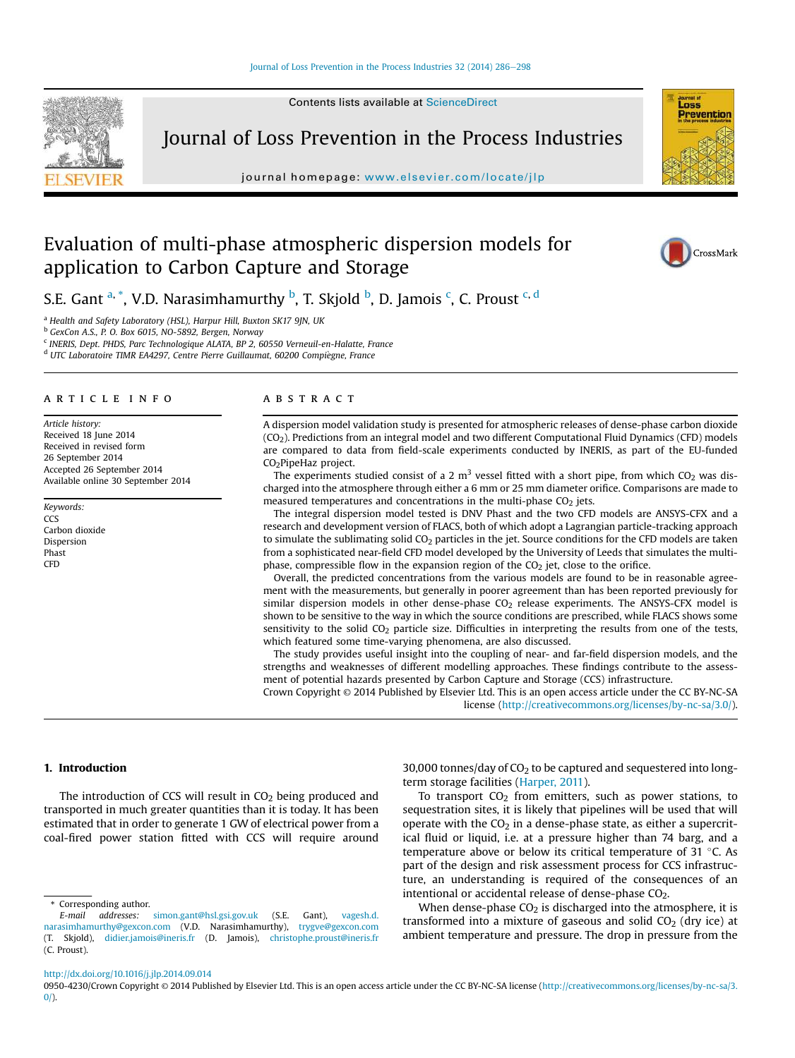#### Journal of Loss Prevention in the Process Industries 32 (2014) 286-298

Contents lists available at ScienceDirect



Journal of Loss Prevention in the Process Industries

journal homepage: www.elsevier.com/locate/jlp



# Evaluation of multi-phase atmospheric dispersion models for application to Carbon Capture and Storage



S.E. Gant <sup>a, \*</sup>, V.D. Narasimhamurthy <sup>b</sup>, T. Skjold <sup>b</sup>, D. Jamois <sup>c</sup>, C. Proust <sup>c, d</sup>

<sup>a</sup> Health and Safety Laboratory (HSL), Harpur Hill, Buxton SK17 9JN, UK

<sup>b</sup> GexCon A.S., P. O. Box 6015, NO-5892, Bergen, Norway

<sup>c</sup> INERIS, Dept. PHDS, Parc Technologique ALATA, BP 2, 60550 Verneuil-en-Halatte, France

<sup>d</sup> UTC Laboratoire TIMR EA4297, Centre Pierre Guillaumat, 60200 Compiegne, France

#### article info

Article history: Received 18 June 2014 Received in revised form 26 September 2014 Accepted 26 September 2014 Available online 30 September 2014

Keywords: CCS Carbon dioxide Dispersion Phast CFD

# ABSTRACT

A dispersion model validation study is presented for atmospheric releases of dense-phase carbon dioxide (CO2). Predictions from an integral model and two different Computational Fluid Dynamics (CFD) models are compared to data from field-scale experiments conducted by INERIS, as part of the EU-funded CO<sub>2</sub>PipeHaz project.

The experiments studied consist of a 2 m<sup>3</sup> vessel fitted with a short pipe, from which CO<sub>2</sub> was discharged into the atmosphere through either a 6 mm or 25 mm diameter orifice. Comparisons are made to measured temperatures and concentrations in the multi-phase  $CO<sub>2</sub>$  jets.

The integral dispersion model tested is DNV Phast and the two CFD models are ANSYS-CFX and a research and development version of FLACS, both of which adopt a Lagrangian particle-tracking approach to simulate the sublimating solid CO<sub>2</sub> particles in the jet. Source conditions for the CFD models are taken from a sophisticated near-field CFD model developed by the University of Leeds that simulates the multiphase, compressible flow in the expansion region of the  $CO<sub>2</sub>$  jet, close to the orifice.

Overall, the predicted concentrations from the various models are found to be in reasonable agreement with the measurements, but generally in poorer agreement than has been reported previously for similar dispersion models in other dense-phase  $CO<sub>2</sub>$  release experiments. The ANSYS-CFX model is shown to be sensitive to the way in which the source conditions are prescribed, while FLACS shows some sensitivity to the solid CO<sub>2</sub> particle size. Difficulties in interpreting the results from one of the tests, which featured some time-varying phenomena, are also discussed.

The study provides useful insight into the coupling of near- and far-field dispersion models, and the strengths and weaknesses of different modelling approaches. These findings contribute to the assessment of potential hazards presented by Carbon Capture and Storage (CCS) infrastructure.

Crown Copyright © 2014 Published by Elsevier Ltd. This is an open access article under the CC BY-NC-SA license (http://creativecommons.org/licenses/by-nc-sa/3.0/).

#### 1. Introduction

The introduction of CCS will result in  $CO<sub>2</sub>$  being produced and transported in much greater quantities than it is today. It has been estimated that in order to generate 1 GW of electrical power from a coal-fired power station fitted with CCS will require around

\* Corresponding author.

30,000 tonnes/day of  $CO<sub>2</sub>$  to be captured and sequestered into longterm storage facilities (Harper, 2011).

To transport  $CO<sub>2</sub>$  from emitters, such as power stations, to sequestration sites, it is likely that pipelines will be used that will operate with the  $CO<sub>2</sub>$  in a dense-phase state, as either a supercritical fluid or liquid, i.e. at a pressure higher than 74 barg, and a temperature above or below its critical temperature of 31 $\degree$ C. As part of the design and risk assessment process for CCS infrastructure, an understanding is required of the consequences of an intentional or accidental release of dense-phase CO<sub>2</sub>.

When dense-phase  $CO<sub>2</sub>$  is discharged into the atmosphere, it is transformed into a mixture of gaseous and solid  $CO<sub>2</sub>$  (dry ice) at ambient temperature and pressure. The drop in pressure from the

http://dx.doi.org/10.1016/j.jlp.2014.09.014

E-mail addresses: simon.gant@hsl.gsi.gov.uk (S.E. Gant), vagesh.d. narasimhamurthy@gexcon.com (V.D. Narasimhamurthy), trygve@gexcon.com (T. Skjold), didier.jamois@ineris.fr (D. Jamois), christophe.proust@ineris.fr (C. Proust).

<sup>0950-4230/</sup>Crown Copyright © 2014 Published by Elsevier Ltd. This is an open access article under the CC BY-NC-SA license (http://creativecommons.org/licenses/by-nc-sa/3.  $0/$ ).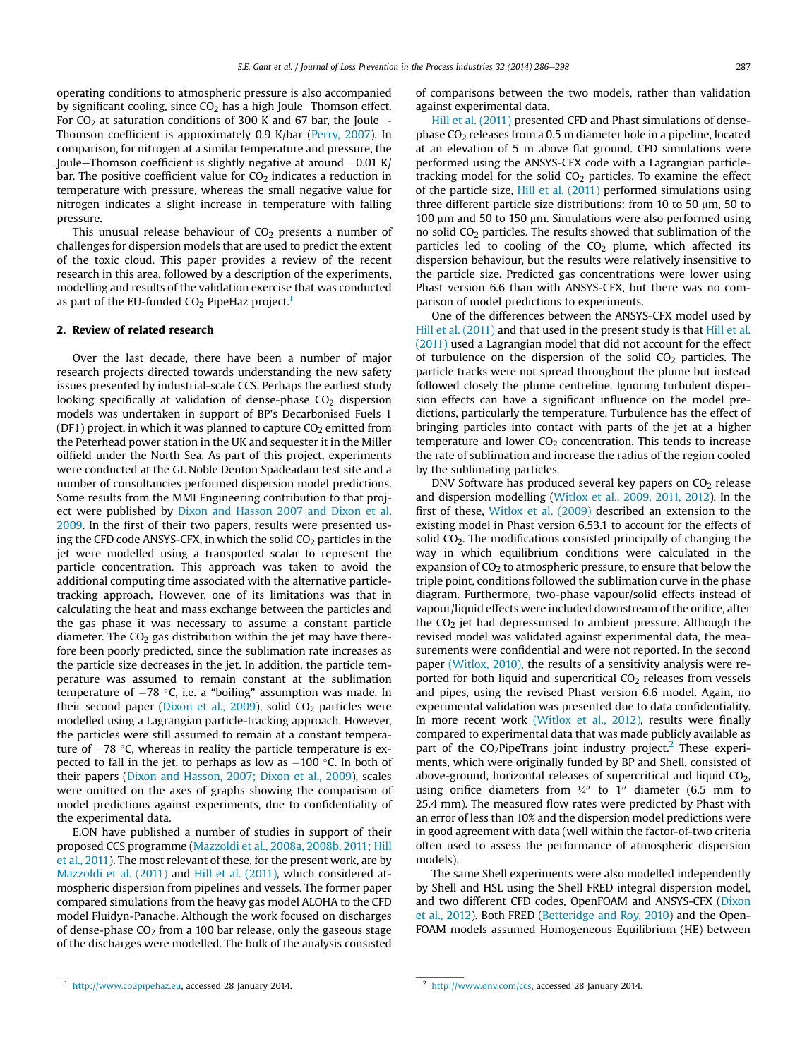operating conditions to atmospheric pressure is also accompanied by significant cooling, since  $CO<sub>2</sub>$  has a high Joule-Thomson effect. For  $CO<sub>2</sub>$  at saturation conditions of 300 K and 67 bar, the Joule--Thomson coefficient is approximately 0.9 K/bar (Perry, 2007). In comparison, for nitrogen at a similar temperature and pressure, the Joule-Thomson coefficient is slightly negative at around  $-0.01$  K/ bar. The positive coefficient value for  $CO<sub>2</sub>$  indicates a reduction in temperature with pressure, whereas the small negative value for nitrogen indicates a slight increase in temperature with falling pressure.

This unusual release behaviour of  $CO<sub>2</sub>$  presents a number of challenges for dispersion models that are used to predict the extent of the toxic cloud. This paper provides a review of the recent research in this area, followed by a description of the experiments, modelling and results of the validation exercise that was conducted as part of the EU-funded  $CO<sub>2</sub>$  PipeHaz project.<sup>1</sup>

### 2. Review of related research

Over the last decade, there have been a number of major research projects directed towards understanding the new safety issues presented by industrial-scale CCS. Perhaps the earliest study looking specifically at validation of dense-phase  $CO<sub>2</sub>$  dispersion models was undertaken in support of BP's Decarbonised Fuels 1 (DF1) project, in which it was planned to capture  $CO<sub>2</sub>$  emitted from the Peterhead power station in the UK and sequester it in the Miller oilfield under the North Sea. As part of this project, experiments were conducted at the GL Noble Denton Spadeadam test site and a number of consultancies performed dispersion model predictions. Some results from the MMI Engineering contribution to that project were published by Dixon and Hasson 2007 and Dixon et al. 2009. In the first of their two papers, results were presented using the CFD code ANSYS-CFX, in which the solid  $CO<sub>2</sub>$  particles in the jet were modelled using a transported scalar to represent the particle concentration. This approach was taken to avoid the additional computing time associated with the alternative particletracking approach. However, one of its limitations was that in calculating the heat and mass exchange between the particles and the gas phase it was necessary to assume a constant particle diameter. The  $CO<sub>2</sub>$  gas distribution within the jet may have therefore been poorly predicted, since the sublimation rate increases as the particle size decreases in the jet. In addition, the particle temperature was assumed to remain constant at the sublimation temperature of  $-78$  °C, i.e. a "boiling" assumption was made. In their second paper (Dixon et al., 2009), solid  $CO<sub>2</sub>$  particles were modelled using a Lagrangian particle-tracking approach. However, the particles were still assumed to remain at a constant temperature of  $-78$  °C, whereas in reality the particle temperature is expected to fall in the jet, to perhaps as low as  $-100$  °C. In both of their papers (Dixon and Hasson, 2007; Dixon et al., 2009), scales were omitted on the axes of graphs showing the comparison of model predictions against experiments, due to confidentiality of the experimental data.

E.ON have published a number of studies in support of their proposed CCS programme (Mazzoldi et al., 2008a, 2008b, 2011; Hill et al., 2011). The most relevant of these, for the present work, are by Mazzoldi et al. (2011) and Hill et al. (2011), which considered atmospheric dispersion from pipelines and vessels. The former paper compared simulations from the heavy gas model ALOHA to the CFD model Fluidyn-Panache. Although the work focused on discharges of dense-phase  $CO<sub>2</sub>$  from a 100 bar release, only the gaseous stage of the discharges were modelled. The bulk of the analysis consisted of comparisons between the two models, rather than validation against experimental data.

Hill et al. (2011) presented CFD and Phast simulations of densephase  $CO<sub>2</sub>$  releases from a 0.5 m diameter hole in a pipeline, located at an elevation of 5 m above flat ground. CFD simulations were performed using the ANSYS-CFX code with a Lagrangian particletracking model for the solid  $CO<sub>2</sub>$  particles. To examine the effect of the particle size, Hill et al. (2011) performed simulations using three different particle size distributions: from 10 to 50  $\mu$ m, 50 to 100  $\mu$ m and 50 to 150  $\mu$ m. Simulations were also performed using no solid CO<sup>2</sup> particles. The results showed that sublimation of the particles led to cooling of the  $CO<sub>2</sub>$  plume, which affected its dispersion behaviour, but the results were relatively insensitive to the particle size. Predicted gas concentrations were lower using Phast version 6.6 than with ANSYS-CFX, but there was no comparison of model predictions to experiments.

One of the differences between the ANSYS-CFX model used by Hill et al. (2011) and that used in the present study is that Hill et al. (2011) used a Lagrangian model that did not account for the effect of turbulence on the dispersion of the solid  $CO<sub>2</sub>$  particles. The particle tracks were not spread throughout the plume but instead followed closely the plume centreline. Ignoring turbulent dispersion effects can have a significant influence on the model predictions, particularly the temperature. Turbulence has the effect of bringing particles into contact with parts of the jet at a higher temperature and lower  $CO<sub>2</sub>$  concentration. This tends to increase the rate of sublimation and increase the radius of the region cooled by the sublimating particles.

DNV Software has produced several key papers on  $CO<sub>2</sub>$  release and dispersion modelling (Witlox et al., 2009, 2011, 2012). In the first of these, Witlox et al. (2009) described an extension to the existing model in Phast version 6.53.1 to account for the effects of solid  $CO<sub>2</sub>$ . The modifications consisted principally of changing the way in which equilibrium conditions were calculated in the expansion of  $CO<sub>2</sub>$  to atmospheric pressure, to ensure that below the triple point, conditions followed the sublimation curve in the phase diagram. Furthermore, two-phase vapour/solid effects instead of vapour/liquid effects were included downstream of the orifice, after the  $CO<sub>2</sub>$  jet had depressurised to ambient pressure. Although the revised model was validated against experimental data, the measurements were confidential and were not reported. In the second paper (Witlox, 2010), the results of a sensitivity analysis were reported for both liquid and supercritical  $CO<sub>2</sub>$  releases from vessels and pipes, using the revised Phast version 6.6 model. Again, no experimental validation was presented due to data confidentiality. In more recent work (Witlox et al., 2012), results were finally compared to experimental data that was made publicly available as part of the  $CO<sub>2</sub>$ PipeTrans joint industry project.<sup>2</sup> These experiments, which were originally funded by BP and Shell, consisted of above-ground, horizontal releases of supercritical and liquid  $CO<sub>2</sub>$ , using orifice diameters from  $\frac{1}{4}$  to 1<sup>n</sup> diameter (6.5 mm to 25.4 mm). The measured flow rates were predicted by Phast with an error of less than 10% and the dispersion model predictions were in good agreement with data (well within the factor-of-two criteria often used to assess the performance of atmospheric dispersion models).

The same Shell experiments were also modelled independently by Shell and HSL using the Shell FRED integral dispersion model, and two different CFD codes, OpenFOAM and ANSYS-CFX (Dixon et al., 2012). Both FRED (Betteridge and Roy, 2010) and the Open-FOAM models assumed Homogeneous Equilibrium (HE) between

<sup>1</sup> http://www.co2pipehaz.eu, accessed 28 January 2014.

http://www.dnv.com/ccs, accessed 28 January 2014.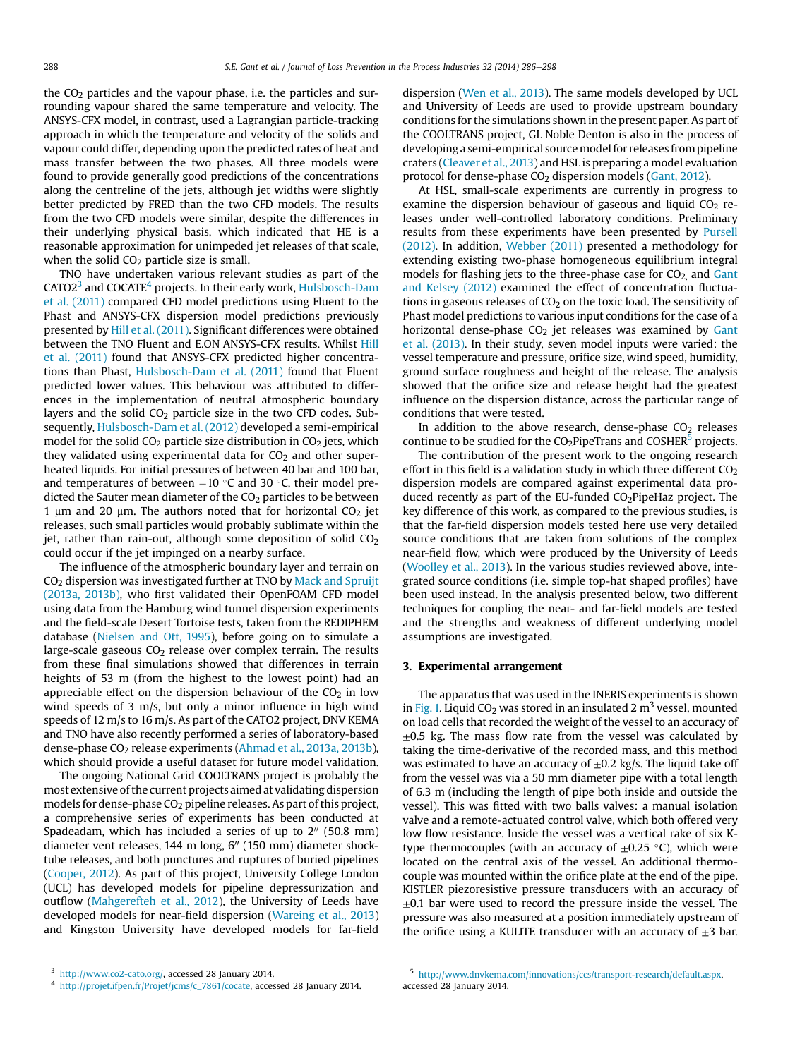the  $CO<sub>2</sub>$  particles and the vapour phase, i.e. the particles and surrounding vapour shared the same temperature and velocity. The ANSYS-CFX model, in contrast, used a Lagrangian particle-tracking approach in which the temperature and velocity of the solids and vapour could differ, depending upon the predicted rates of heat and mass transfer between the two phases. All three models were found to provide generally good predictions of the concentrations along the centreline of the jets, although jet widths were slightly better predicted by FRED than the two CFD models. The results from the two CFD models were similar, despite the differences in their underlying physical basis, which indicated that HE is a reasonable approximation for unimpeded jet releases of that scale, when the solid  $CO<sub>2</sub>$  particle size is small.

TNO have undertaken various relevant studies as part of the CATO2 $^3$  and COCATE $^4$  projects. In their early work, Hulsbosch-Dam et al. (2011) compared CFD model predictions using Fluent to the Phast and ANSYS-CFX dispersion model predictions previously presented by Hill et al. (2011). Significant differences were obtained between the TNO Fluent and E.ON ANSYS-CFX results. Whilst Hill et al. (2011) found that ANSYS-CFX predicted higher concentrations than Phast, Hulsbosch-Dam et al. (2011) found that Fluent predicted lower values. This behaviour was attributed to differences in the implementation of neutral atmospheric boundary layers and the solid  $CO<sub>2</sub>$  particle size in the two CFD codes. Subsequently, Hulsbosch-Dam et al. (2012) developed a semi-empirical model for the solid  $CO<sub>2</sub>$  particle size distribution in  $CO<sub>2</sub>$  jets, which they validated using experimental data for  $CO<sub>2</sub>$  and other superheated liquids. For initial pressures of between 40 bar and 100 bar, and temperatures of between  $-10$  °C and 30 °C, their model predicted the Sauter mean diameter of the  $CO<sub>2</sub>$  particles to be between 1  $\mu$ m and 20  $\mu$ m. The authors noted that for horizontal CO<sub>2</sub> jet releases, such small particles would probably sublimate within the jet, rather than rain-out, although some deposition of solid  $CO<sub>2</sub>$ could occur if the jet impinged on a nearby surface.

The influence of the atmospheric boundary layer and terrain on CO<sup>2</sup> dispersion was investigated further at TNO by Mack and Spruijt (2013a, 2013b), who first validated their OpenFOAM CFD model using data from the Hamburg wind tunnel dispersion experiments and the field-scale Desert Tortoise tests, taken from the REDIPHEM database (Nielsen and Ott, 1995), before going on to simulate a large-scale gaseous  $CO<sub>2</sub>$  release over complex terrain. The results from these final simulations showed that differences in terrain heights of 53 m (from the highest to the lowest point) had an appreciable effect on the dispersion behaviour of the  $CO<sub>2</sub>$  in low wind speeds of 3 m/s, but only a minor influence in high wind speeds of 12 m/s to 16 m/s. As part of the CATO2 project, DNV KEMA and TNO have also recently performed a series of laboratory-based dense-phase CO<sub>2</sub> release experiments (Ahmad et al., 2013a, 2013b), which should provide a useful dataset for future model validation.

The ongoing National Grid COOLTRANS project is probably the most extensive of the current projects aimed at validating dispersion models for dense-phase CO<sub>2</sub> pipeline releases. As part of this project, a comprehensive series of experiments has been conducted at Spadeadam, which has included a series of up to  $2^{\prime\prime}$  (50.8 mm) diameter vent releases, 144 m long, 6" (150 mm) diameter shocktube releases, and both punctures and ruptures of buried pipelines (Cooper, 2012). As part of this project, University College London (UCL) has developed models for pipeline depressurization and outflow (Mahgerefteh et al., 2012), the University of Leeds have developed models for near-field dispersion (Wareing et al., 2013) and Kingston University have developed models for far-field

dispersion (Wen et al., 2013). The same models developed by UCL and University of Leeds are used to provide upstream boundary conditions for the simulations shown in the present paper. As part of the COOLTRANS project, GL Noble Denton is also in the process of developing a semi-empirical source model for releases from pipeline craters (Cleaver et al., 2013) and HSL is preparing a model evaluation protocol for dense-phase  $CO<sub>2</sub>$  dispersion models (Gant, 2012).

At HSL, small-scale experiments are currently in progress to examine the dispersion behaviour of gaseous and liquid  $CO<sub>2</sub>$  releases under well-controlled laboratory conditions. Preliminary results from these experiments have been presented by Pursell (2012). In addition, Webber (2011) presented a methodology for extending existing two-phase homogeneous equilibrium integral models for flashing jets to the three-phase case for  $CO<sub>2</sub>$  and Gant and Kelsey (2012) examined the effect of concentration fluctuations in gaseous releases of  $CO<sub>2</sub>$  on the toxic load. The sensitivity of Phast model predictions to various input conditions for the case of a horizontal dense-phase  $CO<sub>2</sub>$  jet releases was examined by Gant et al. (2013). In their study, seven model inputs were varied: the vessel temperature and pressure, orifice size, wind speed, humidity, ground surface roughness and height of the release. The analysis showed that the orifice size and release height had the greatest influence on the dispersion distance, across the particular range of conditions that were tested.

In addition to the above research, dense-phase  $CO<sub>2</sub>$  releases continue to be studied for the  $CO_2$ PipeTrans and COSHER $^5$  projects.

The contribution of the present work to the ongoing research effort in this field is a validation study in which three different  $CO<sub>2</sub>$ dispersion models are compared against experimental data produced recently as part of the EU-funded  $CO<sub>2</sub>$ PipeHaz project. The key difference of this work, as compared to the previous studies, is that the far-field dispersion models tested here use very detailed source conditions that are taken from solutions of the complex near-field flow, which were produced by the University of Leeds (Woolley et al., 2013). In the various studies reviewed above, integrated source conditions (i.e. simple top-hat shaped profiles) have been used instead. In the analysis presented below, two different techniques for coupling the near- and far-field models are tested and the strengths and weakness of different underlying model assumptions are investigated.

## 3. Experimental arrangement

The apparatus that was used in the INERIS experiments is shown in Fig. 1. Liquid CO<sub>2</sub> was stored in an insulated 2  $\mathrm{m}^{3}$  vessel, mounted on load cells that recorded the weight of the vessel to an accuracy of  $\pm$ 0.5 kg. The mass flow rate from the vessel was calculated by taking the time-derivative of the recorded mass, and this method was estimated to have an accuracy of  $\pm$ 0.2 kg/s. The liquid take off from the vessel was via a 50 mm diameter pipe with a total length of 6.3 m (including the length of pipe both inside and outside the vessel). This was fitted with two balls valves: a manual isolation valve and a remote-actuated control valve, which both offered very low flow resistance. Inside the vessel was a vertical rake of six Ktype thermocouples (with an accuracy of  $\pm 0.25$  °C), which were located on the central axis of the vessel. An additional thermocouple was mounted within the orifice plate at the end of the pipe. KISTLER piezoresistive pressure transducers with an accuracy of  $\pm$ 0.1 bar were used to record the pressure inside the vessel. The pressure was also measured at a position immediately upstream of the orifice using a KULITE transducer with an accuracy of  $\pm 3$  bar.

<sup>&</sup>lt;sup>3</sup> http://www.co2-cato.org/, accessed 28 January 2014.

<sup>4</sup> http://projet.ifpen.fr/Projet/jcms/c\_7861/cocate, accessed 28 January 2014.

<sup>5</sup> http://www.dnvkema.com/innovations/ccs/transport-research/default.aspx, accessed 28 January 2014.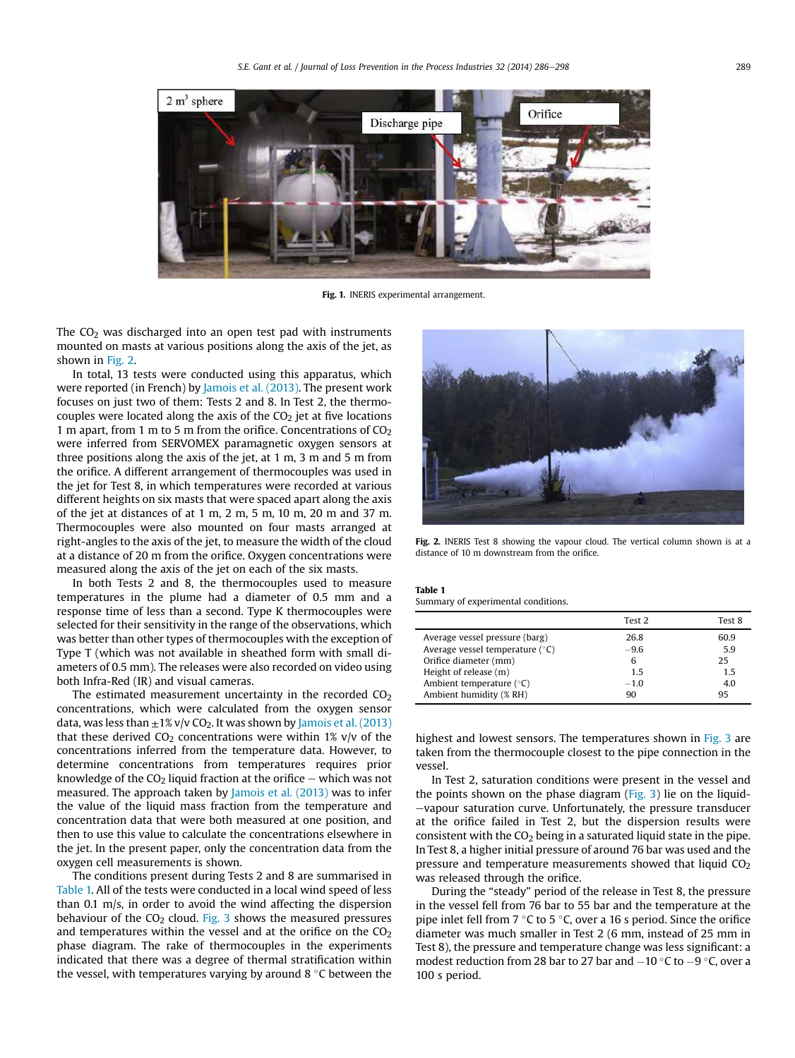

Fig. 1. INERIS experimental arrangement.

The  $CO<sub>2</sub>$  was discharged into an open test pad with instruments mounted on masts at various positions along the axis of the jet, as shown in Fig. 2.

In total, 13 tests were conducted using this apparatus, which were reported (in French) by Jamois et al. (2013). The present work focuses on just two of them: Tests 2 and 8. In Test 2, the thermocouples were located along the axis of the  $CO<sub>2</sub>$  jet at five locations 1 m apart, from 1 m to 5 m from the orifice. Concentrations of  $CO<sub>2</sub>$ were inferred from SERVOMEX paramagnetic oxygen sensors at three positions along the axis of the jet, at 1 m, 3 m and 5 m from the orifice. A different arrangement of thermocouples was used in the jet for Test 8, in which temperatures were recorded at various different heights on six masts that were spaced apart along the axis of the jet at distances of at 1 m, 2 m, 5 m, 10 m, 20 m and 37 m. Thermocouples were also mounted on four masts arranged at right-angles to the axis of the jet, to measure the width of the cloud at a distance of 20 m from the orifice. Oxygen concentrations were measured along the axis of the jet on each of the six masts.

In both Tests 2 and 8, the thermocouples used to measure temperatures in the plume had a diameter of 0.5 mm and a response time of less than a second. Type K thermocouples were selected for their sensitivity in the range of the observations, which was better than other types of thermocouples with the exception of Type T (which was not available in sheathed form with small diameters of 0.5 mm). The releases were also recorded on video using both Infra-Red (IR) and visual cameras.

The estimated measurement uncertainty in the recorded  $CO<sub>2</sub>$ concentrations, which were calculated from the oxygen sensor data, was less than  $\pm 1\%$  v/v CO<sub>2</sub>. It was shown by Jamois et al. (2013) that these derived  $CO<sub>2</sub>$  concentrations were within 1% v/v of the concentrations inferred from the temperature data. However, to determine concentrations from temperatures requires prior knowledge of the  $CO<sub>2</sub>$  liquid fraction at the orifice – which was not measured. The approach taken by Jamois et al. (2013) was to infer the value of the liquid mass fraction from the temperature and concentration data that were both measured at one position, and then to use this value to calculate the concentrations elsewhere in the jet. In the present paper, only the concentration data from the oxygen cell measurements is shown.

The conditions present during Tests 2 and 8 are summarised in Table 1. All of the tests were conducted in a local wind speed of less than 0.1 m/s, in order to avoid the wind affecting the dispersion behaviour of the  $CO<sub>2</sub>$  cloud. Fig. 3 shows the measured pressures and temperatures within the vessel and at the orifice on the  $CO<sub>2</sub>$ phase diagram. The rake of thermocouples in the experiments indicated that there was a degree of thermal stratification within the vessel, with temperatures varying by around 8  $\degree$ C between the



Fig. 2. INERIS Test 8 showing the vapour cloud. The vertical column shown is at a distance of 10 m downstream from the orifice.

#### Table 1 Summary of experimental conditions.

|                                   | Test <sub>2</sub> | Test 8 |
|-----------------------------------|-------------------|--------|
| Average vessel pressure (barg)    | 26.8              | 60.9   |
| Average vessel temperature $(°C)$ | $-9.6$            | 5.9    |
| Orifice diameter (mm)             | 6                 | 25     |
| Height of release (m)             | 15                | 1.5    |
| Ambient temperature $(°C)$        | $-1.0$            | 4.0    |
| Ambient humidity (% RH)           | 90                | 95     |

highest and lowest sensors. The temperatures shown in Fig. 3 are taken from the thermocouple closest to the pipe connection in the vessel.

In Test 2, saturation conditions were present in the vessel and the points shown on the phase diagram (Fig. 3) lie on the liquid--vapour saturation curve. Unfortunately, the pressure transducer at the orifice failed in Test 2, but the dispersion results were consistent with the  $CO<sub>2</sub>$  being in a saturated liquid state in the pipe. In Test 8, a higher initial pressure of around 76 bar was used and the pressure and temperature measurements showed that liquid  $CO<sub>2</sub>$ was released through the orifice.

During the "steady" period of the release in Test 8, the pressure in the vessel fell from 76 bar to 55 bar and the temperature at the pipe inlet fell from  $7 \degree C$  to  $5 \degree C$ , over a 16 s period. Since the orifice diameter was much smaller in Test 2 (6 mm, instead of 25 mm in Test 8), the pressure and temperature change was less significant: a modest reduction from 28 bar to 27 bar and  $-10$  °C to  $-9$  °C, over a 100 s period.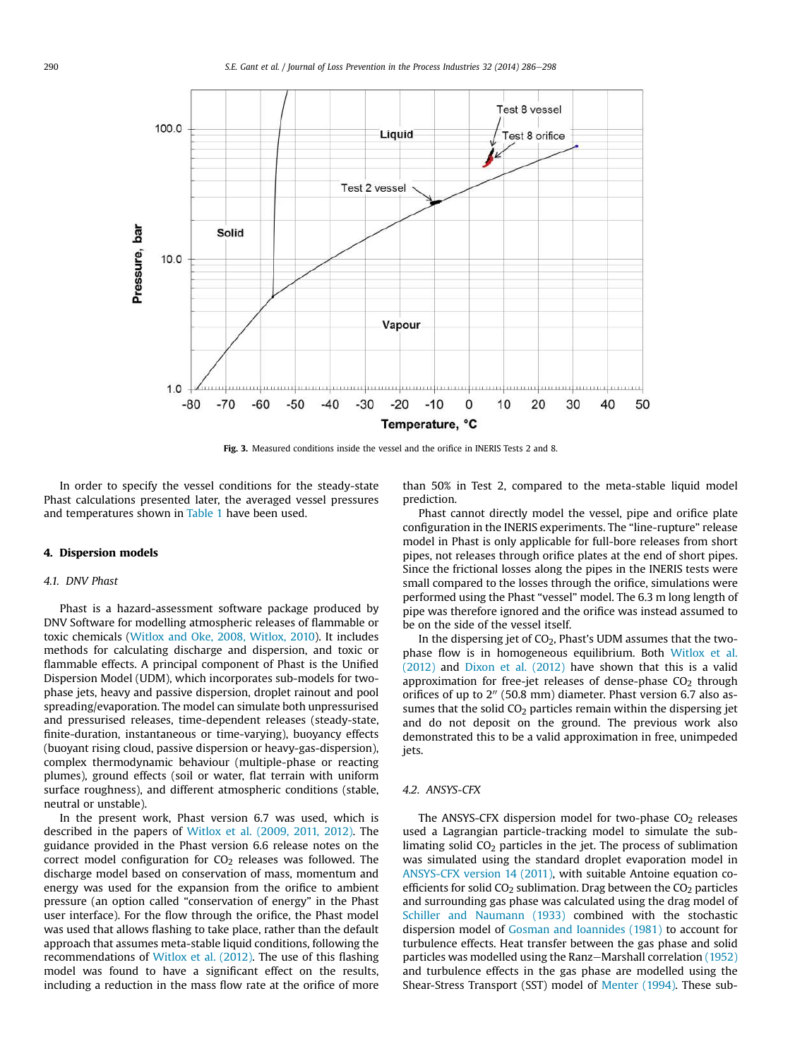

Fig. 3. Measured conditions inside the vessel and the orifice in INERIS Tests 2 and 8.

In order to specify the vessel conditions for the steady-state Phast calculations presented later, the averaged vessel pressures and temperatures shown in Table 1 have been used.

#### 4. Dispersion models

#### 4.1. DNV Phast

Phast is a hazard-assessment software package produced by DNV Software for modelling atmospheric releases of flammable or toxic chemicals (Witlox and Oke, 2008, Witlox, 2010). It includes methods for calculating discharge and dispersion, and toxic or flammable effects. A principal component of Phast is the Unified Dispersion Model (UDM), which incorporates sub-models for twophase jets, heavy and passive dispersion, droplet rainout and pool spreading/evaporation. The model can simulate both unpressurised and pressurised releases, time-dependent releases (steady-state, finite-duration, instantaneous or time-varying), buoyancy effects (buoyant rising cloud, passive dispersion or heavy-gas-dispersion), complex thermodynamic behaviour (multiple-phase or reacting plumes), ground effects (soil or water, flat terrain with uniform surface roughness), and different atmospheric conditions (stable, neutral or unstable).

In the present work, Phast version 6.7 was used, which is described in the papers of Witlox et al. (2009, 2011, 2012). The guidance provided in the Phast version 6.6 release notes on the correct model configuration for  $CO<sub>2</sub>$  releases was followed. The discharge model based on conservation of mass, momentum and energy was used for the expansion from the orifice to ambient pressure (an option called "conservation of energy" in the Phast user interface). For the flow through the orifice, the Phast model was used that allows flashing to take place, rather than the default approach that assumes meta-stable liquid conditions, following the recommendations of Witlox et al. (2012). The use of this flashing model was found to have a significant effect on the results, including a reduction in the mass flow rate at the orifice of more than 50% in Test 2, compared to the meta-stable liquid model prediction.

Phast cannot directly model the vessel, pipe and orifice plate configuration in the INERIS experiments. The "line-rupture" release model in Phast is only applicable for full-bore releases from short pipes, not releases through orifice plates at the end of short pipes. Since the frictional losses along the pipes in the INERIS tests were small compared to the losses through the orifice, simulations were performed using the Phast "vessel" model. The 6.3 m long length of pipe was therefore ignored and the orifice was instead assumed to be on the side of the vessel itself.

In the dispersing jet of  $CO<sub>2</sub>$ , Phast's UDM assumes that the twophase flow is in homogeneous equilibrium. Both Witlox et al. (2012) and Dixon et al. (2012) have shown that this is a valid approximation for free-jet releases of dense-phase  $CO<sub>2</sub>$  through orifices of up to  $2''$  (50.8 mm) diameter. Phast version 6.7 also assumes that the solid  $CO<sub>2</sub>$  particles remain within the dispersing jet and do not deposit on the ground. The previous work also demonstrated this to be a valid approximation in free, unimpeded iets.

#### 4.2. ANSYS-CFX

The ANSYS-CFX dispersion model for two-phase  $CO<sub>2</sub>$  releases used a Lagrangian particle-tracking model to simulate the sublimating solid  $CO<sub>2</sub>$  particles in the jet. The process of sublimation was simulated using the standard droplet evaporation model in ANSYS-CFX version 14 (2011), with suitable Antoine equation coefficients for solid  $CO<sub>2</sub>$  sublimation. Drag between the  $CO<sub>2</sub>$  particles and surrounding gas phase was calculated using the drag model of Schiller and Naumann (1933) combined with the stochastic dispersion model of Gosman and Ioannides (1981) to account for turbulence effects. Heat transfer between the gas phase and solid particles was modelled using the Ranz-Marshall correlation (1952) and turbulence effects in the gas phase are modelled using the Shear-Stress Transport (SST) model of Menter (1994). These sub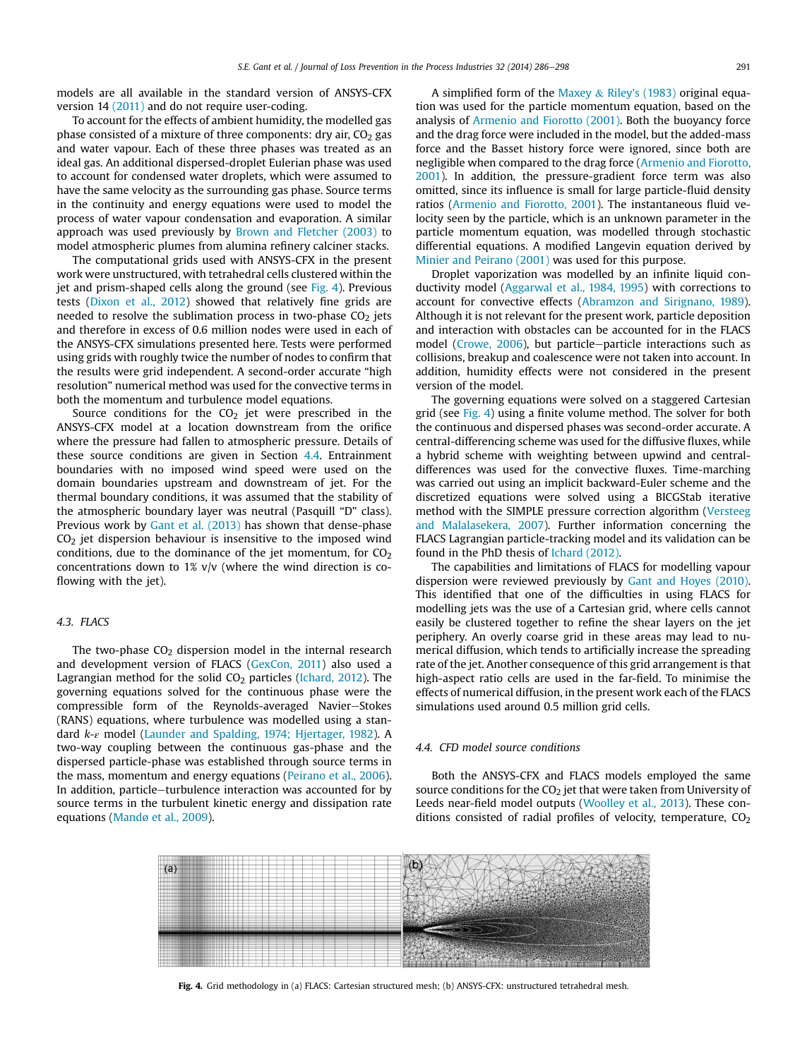models are all available in the standard version of ANSYS-CFX version 14 (2011) and do not require user-coding.

To account for the effects of ambient humidity, the modelled gas phase consisted of a mixture of three components: dry air,  $CO<sub>2</sub>$  gas and water vapour. Each of these three phases was treated as an ideal gas. An additional dispersed-droplet Eulerian phase was used to account for condensed water droplets, which were assumed to have the same velocity as the surrounding gas phase. Source terms in the continuity and energy equations were used to model the process of water vapour condensation and evaporation. A similar approach was used previously by Brown and Fletcher (2003) to model atmospheric plumes from alumina refinery calciner stacks.

The computational grids used with ANSYS-CFX in the present work were unstructured, with tetrahedral cells clustered within the jet and prism-shaped cells along the ground (see  $Fig. 4$ ). Previous tests (Dixon et al., 2012) showed that relatively fine grids are needed to resolve the sublimation process in two-phase  $CO<sub>2</sub>$  jets and therefore in excess of 0.6 million nodes were used in each of the ANSYS-CFX simulations presented here. Tests were performed using grids with roughly twice the number of nodes to confirm that the results were grid independent. A second-order accurate "high resolution" numerical method was used for the convective terms in both the momentum and turbulence model equations.

Source conditions for the  $CO<sub>2</sub>$  jet were prescribed in the ANSYS-CFX model at a location downstream from the orifice where the pressure had fallen to atmospheric pressure. Details of these source conditions are given in Section 4.4. Entrainment boundaries with no imposed wind speed were used on the domain boundaries upstream and downstream of jet. For the thermal boundary conditions, it was assumed that the stability of the atmospheric boundary layer was neutral (Pasquill "D" class). Previous work by Gant et al. (2013) has shown that dense-phase  $CO<sub>2</sub>$  jet dispersion behaviour is insensitive to the imposed wind conditions, due to the dominance of the jet momentum, for  $CO<sub>2</sub>$ concentrations down to 1% v/v (where the wind direction is coflowing with the jet).

## 4.3. FLACS

The two-phase  $CO<sub>2</sub>$  dispersion model in the internal research and development version of FLACS (GexCon, 2011) also used a Lagrangian method for the solid CO<sub>2</sub> particles (Ichard, 2012). The governing equations solved for the continuous phase were the compressible form of the Reynolds-averaged Navier-Stokes (RANS) equations, where turbulence was modelled using a standard k-ε model (Launder and Spalding, 1974; Hjertager, 1982). A two-way coupling between the continuous gas-phase and the dispersed particle-phase was established through source terms in the mass, momentum and energy equations (Peirano et al., 2006). In addition, particle-turbulence interaction was accounted for by source terms in the turbulent kinetic energy and dissipation rate equations (Mandø et al., 2009).

A simplified form of the Maxey & Riley's (1983) original equation was used for the particle momentum equation, based on the analysis of Armenio and Fiorotto (2001). Both the buoyancy force and the drag force were included in the model, but the added-mass force and the Basset history force were ignored, since both are negligible when compared to the drag force (Armenio and Fiorotto, 2001). In addition, the pressure-gradient force term was also omitted, since its influence is small for large particle-fluid density ratios (Armenio and Fiorotto, 2001). The instantaneous fluid velocity seen by the particle, which is an unknown parameter in the particle momentum equation, was modelled through stochastic differential equations. A modified Langevin equation derived by Minier and Peirano (2001) was used for this purpose.

Droplet vaporization was modelled by an infinite liquid conductivity model (Aggarwal et al., 1984, 1995) with corrections to account for convective effects (Abramzon and Sirignano, 1989). Although it is not relevant for the present work, particle deposition and interaction with obstacles can be accounted for in the FLACS model (Crowe, 2006), but particle-particle interactions such as collisions, breakup and coalescence were not taken into account. In addition, humidity effects were not considered in the present version of the model.

The governing equations were solved on a staggered Cartesian grid (see Fig. 4) using a finite volume method. The solver for both the continuous and dispersed phases was second-order accurate. A central-differencing scheme was used for the diffusive fluxes, while a hybrid scheme with weighting between upwind and centraldifferences was used for the convective fluxes. Time-marching was carried out using an implicit backward-Euler scheme and the discretized equations were solved using a BICGStab iterative method with the SIMPLE pressure correction algorithm (Versteeg and Malalasekera, 2007). Further information concerning the FLACS Lagrangian particle-tracking model and its validation can be found in the PhD thesis of Ichard (2012).

The capabilities and limitations of FLACS for modelling vapour dispersion were reviewed previously by Gant and Hoyes (2010). This identified that one of the difficulties in using FLACS for modelling jets was the use of a Cartesian grid, where cells cannot easily be clustered together to refine the shear layers on the jet periphery. An overly coarse grid in these areas may lead to numerical diffusion, which tends to artificially increase the spreading rate of the jet. Another consequence of this grid arrangement is that high-aspect ratio cells are used in the far-field. To minimise the effects of numerical diffusion, in the present work each of the FLACS simulations used around 0.5 million grid cells.

#### 4.4. CFD model source conditions

Both the ANSYS-CFX and FLACS models employed the same source conditions for the CO<sub>2</sub> jet that were taken from University of Leeds near-field model outputs (Woolley et al., 2013). These conditions consisted of radial profiles of velocity, temperature,  $CO<sub>2</sub>$ 



Fig. 4. Grid methodology in (a) FLACS: Cartesian structured mesh; (b) ANSYS-CFX: unstructured tetrahedral mesh.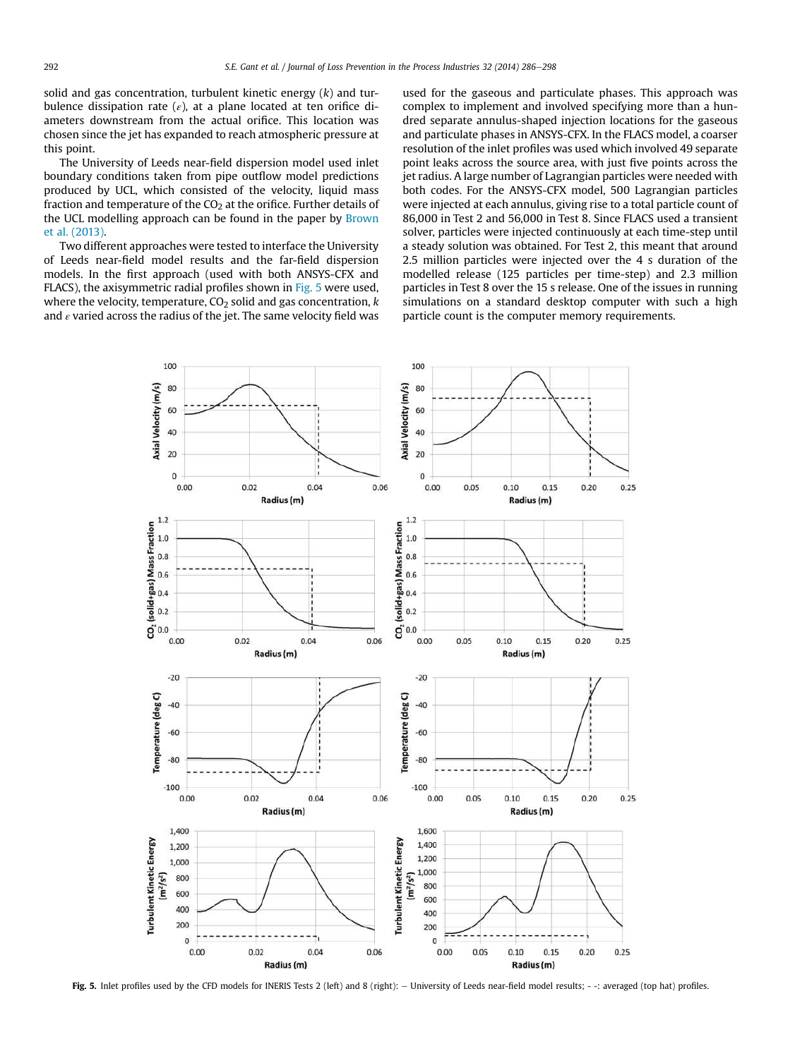solid and gas concentration, turbulent kinetic energy  $(k)$  and turbulence dissipation rate  $(\varepsilon)$ , at a plane located at ten orifice diameters downstream from the actual orifice. This location was chosen since the jet has expanded to reach atmospheric pressure at this point.

The University of Leeds near-field dispersion model used inlet boundary conditions taken from pipe outflow model predictions produced by UCL, which consisted of the velocity, liquid mass fraction and temperature of the  $CO<sub>2</sub>$  at the orifice. Further details of the UCL modelling approach can be found in the paper by Brown et al. (2013).

Two different approaches were tested to interface the University of Leeds near-field model results and the far-field dispersion models. In the first approach (used with both ANSYS-CFX and FLACS), the axisymmetric radial profiles shown in Fig. 5 were used, where the velocity, temperature,  $CO<sub>2</sub>$  solid and gas concentration, k and  $\varepsilon$  varied across the radius of the jet. The same velocity field was used for the gaseous and particulate phases. This approach was complex to implement and involved specifying more than a hundred separate annulus-shaped injection locations for the gaseous and particulate phases in ANSYS-CFX. In the FLACS model, a coarser resolution of the inlet profiles was used which involved 49 separate point leaks across the source area, with just five points across the jet radius. A large number of Lagrangian particles were needed with both codes. For the ANSYS-CFX model, 500 Lagrangian particles were injected at each annulus, giving rise to a total particle count of 86,000 in Test 2 and 56,000 in Test 8. Since FLACS used a transient solver, particles were injected continuously at each time-step until a steady solution was obtained. For Test 2, this meant that around 2.5 million particles were injected over the 4 s duration of the modelled release (125 particles per time-step) and 2.3 million particles in Test 8 over the 15 s release. One of the issues in running simulations on a standard desktop computer with such a high particle count is the computer memory requirements.



Fig. 5. Inlet profiles used by the CFD models for INERIS Tests 2 (left) and 8 (right): - University of Leeds near-field model results; --: averaged (top hat) profiles.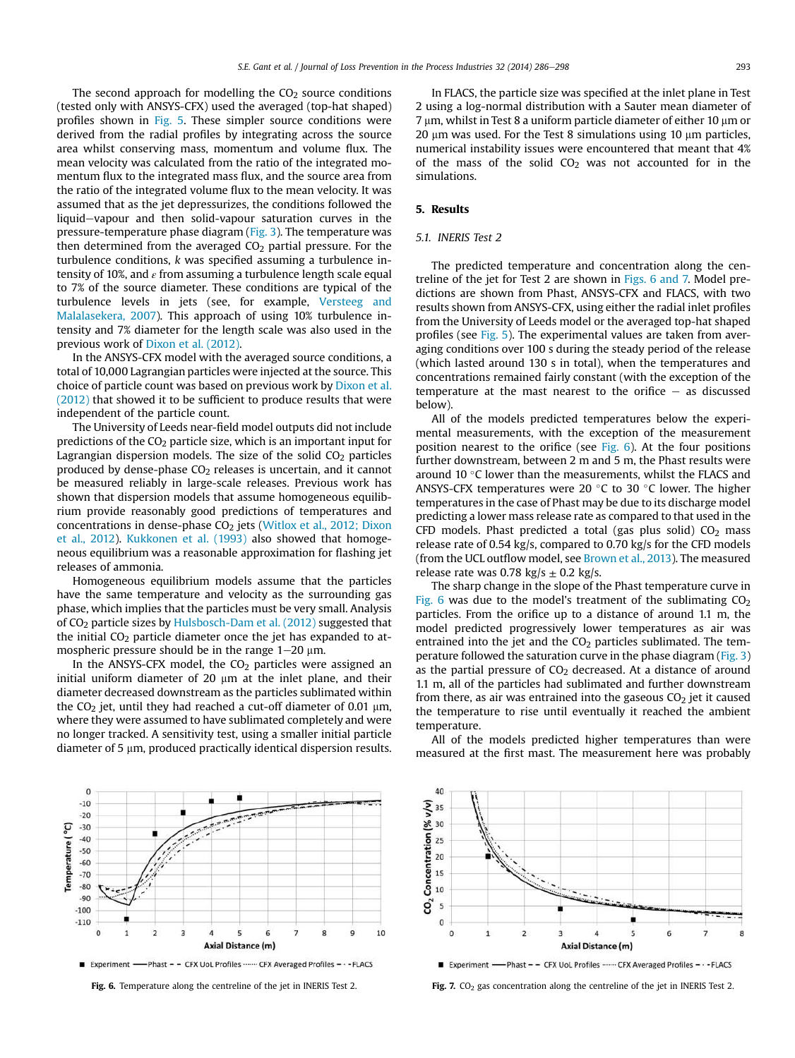The second approach for modelling the  $CO<sub>2</sub>$  source conditions (tested only with ANSYS-CFX) used the averaged (top-hat shaped) profiles shown in Fig. 5. These simpler source conditions were derived from the radial profiles by integrating across the source area whilst conserving mass, momentum and volume flux. The mean velocity was calculated from the ratio of the integrated momentum flux to the integrated mass flux, and the source area from the ratio of the integrated volume flux to the mean velocity. It was assumed that as the jet depressurizes, the conditions followed the liquid-vapour and then solid-vapour saturation curves in the pressure-temperature phase diagram (Fig. 3). The temperature was then determined from the averaged  $CO<sub>2</sub>$  partial pressure. For the turbulence conditions, k was specified assuming a turbulence intensity of 10%, and  $\varepsilon$  from assuming a turbulence length scale equal to 7% of the source diameter. These conditions are typical of the turbulence levels in jets (see, for example, Versteeg and Malalasekera, 2007). This approach of using 10% turbulence intensity and 7% diameter for the length scale was also used in the previous work of Dixon et al. (2012).

In the ANSYS-CFX model with the averaged source conditions, a total of 10,000 Lagrangian particles were injected at the source. This choice of particle count was based on previous work by Dixon et al. (2012) that showed it to be sufficient to produce results that were independent of the particle count.

The University of Leeds near-field model outputs did not include predictions of the  $CO<sub>2</sub>$  particle size, which is an important input for Lagrangian dispersion models. The size of the solid  $CO<sub>2</sub>$  particles produced by dense-phase  $CO<sub>2</sub>$  releases is uncertain, and it cannot be measured reliably in large-scale releases. Previous work has shown that dispersion models that assume homogeneous equilibrium provide reasonably good predictions of temperatures and concentrations in dense-phase CO<sub>2</sub> jets (Witlox et al., 2012; Dixon et al., 2012). Kukkonen et al. (1993) also showed that homogeneous equilibrium was a reasonable approximation for flashing jet releases of ammonia.

Homogeneous equilibrium models assume that the particles have the same temperature and velocity as the surrounding gas phase, which implies that the particles must be very small. Analysis of CO<sup>2</sup> particle sizes by Hulsbosch-Dam et al. (2012) suggested that the initial  $CO<sub>2</sub>$  particle diameter once the jet has expanded to atmospheric pressure should be in the range  $1-20 \mu m$ .

In the ANSYS-CFX model, the  $CO<sub>2</sub>$  particles were assigned an initial uniform diameter of 20  $\mu$ m at the inlet plane, and their diameter decreased downstream as the particles sublimated within the CO<sub>2</sub> jet, until they had reached a cut-off diameter of 0.01  $\mu$ m, where they were assumed to have sublimated completely and were no longer tracked. A sensitivity test, using a smaller initial particle diameter of 5  $\mu$ m, produced practically identical dispersion results.



In FLACS, the particle size was specified at the inlet plane in Test 2 using a log-normal distribution with a Sauter mean diameter of  $7 \mu$ m, whilst in Test 8 a uniform particle diameter of either 10  $\mu$ m or 20  $\mu$ m was used. For the Test 8 simulations using 10  $\mu$ m particles, numerical instability issues were encountered that meant that 4% of the mass of the solid  $CO<sub>2</sub>$  was not accounted for in the simulations.

# 5. Results

# 5.1. INERIS Test 2

The predicted temperature and concentration along the centreline of the jet for Test 2 are shown in Figs. 6 and 7. Model predictions are shown from Phast, ANSYS-CFX and FLACS, with two results shown from ANSYS-CFX, using either the radial inlet profiles from the University of Leeds model or the averaged top-hat shaped profiles (see Fig. 5). The experimental values are taken from averaging conditions over 100 s during the steady period of the release (which lasted around 130 s in total), when the temperatures and concentrations remained fairly constant (with the exception of the temperature at the mast nearest to the orifice  $-$  as discussed below).

All of the models predicted temperatures below the experimental measurements, with the exception of the measurement position nearest to the orifice (see Fig. 6). At the four positions further downstream, between 2 m and 5 m, the Phast results were around 10 $\degree$ C lower than the measurements, whilst the FLACS and ANSYS-CFX temperatures were 20  $\degree$ C to 30  $\degree$ C lower. The higher temperatures in the case of Phast may be due to its discharge model predicting a lower mass release rate as compared to that used in the CFD models. Phast predicted a total (gas plus solid)  $CO<sub>2</sub>$  mass release rate of 0.54 kg/s, compared to 0.70 kg/s for the CFD models (from the UCL outflow model, see Brown et al., 2013). The measured release rate was 0.78 kg/s  $\pm$  0.2 kg/s.

The sharp change in the slope of the Phast temperature curve in Fig. 6 was due to the model's treatment of the sublimating  $CO<sub>2</sub>$ particles. From the orifice up to a distance of around 1.1 m, the model predicted progressively lower temperatures as air was entrained into the jet and the  $CO<sub>2</sub>$  particles sublimated. The temperature followed the saturation curve in the phase diagram (Fig. 3) as the partial pressure of  $CO<sub>2</sub>$  decreased. At a distance of around 1.1 m, all of the particles had sublimated and further downstream from there, as air was entrained into the gaseous  $CO<sub>2</sub>$  jet it caused the temperature to rise until eventually it reached the ambient temperature.

All of the models predicted higher temperatures than were measured at the first mast. The measurement here was probably



Fig. 6. Temperature along the centreline of the jet in INERIS Test 2. Fig. 7. CO<sub>2</sub> gas concentration along the centreline of the jet in INERIS Test 2.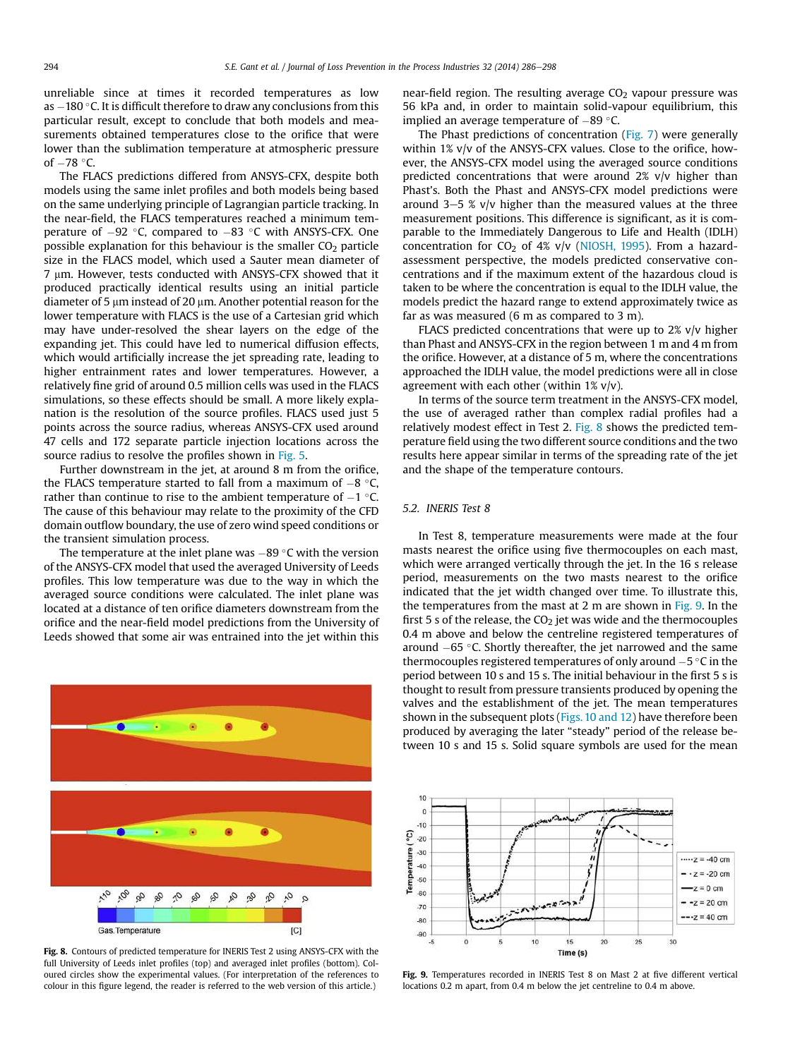unreliable since at times it recorded temperatures as low as  $-180$  °C. It is difficult therefore to draw any conclusions from this particular result, except to conclude that both models and measurements obtained temperatures close to the orifice that were lower than the sublimation temperature at atmospheric pressure of  $-78$  °C.

The FLACS predictions differed from ANSYS-CFX, despite both models using the same inlet profiles and both models being based on the same underlying principle of Lagrangian particle tracking. In the near-field, the FLACS temperatures reached a minimum temperature of  $-92$  °C, compared to  $-83$  °C with ANSYS-CFX. One possible explanation for this behaviour is the smaller  $CO<sub>2</sub>$  particle size in the FLACS model, which used a Sauter mean diameter of 7 µm. However, tests conducted with ANSYS-CFX showed that it produced practically identical results using an initial particle diameter of 5  $\mu$ m instead of 20  $\mu$ m. Another potential reason for the lower temperature with FLACS is the use of a Cartesian grid which may have under-resolved the shear layers on the edge of the expanding jet. This could have led to numerical diffusion effects, which would artificially increase the jet spreading rate, leading to higher entrainment rates and lower temperatures. However, a relatively fine grid of around 0.5 million cells was used in the FLACS simulations, so these effects should be small. A more likely explanation is the resolution of the source profiles. FLACS used just 5 points across the source radius, whereas ANSYS-CFX used around 47 cells and 172 separate particle injection locations across the source radius to resolve the profiles shown in Fig. 5.

Further downstream in the jet, at around 8 m from the orifice, the FLACS temperature started to fall from a maximum of  $-8$  °C, rather than continue to rise to the ambient temperature of  $-1$  °C. The cause of this behaviour may relate to the proximity of the CFD domain outflow boundary, the use of zero wind speed conditions or the transient simulation process.

The temperature at the inlet plane was  $-89$  °C with the version of the ANSYS-CFX model that used the averaged University of Leeds profiles. This low temperature was due to the way in which the averaged source conditions were calculated. The inlet plane was located at a distance of ten orifice diameters downstream from the orifice and the near-field model predictions from the University of Leeds showed that some air was entrained into the jet within this



Fig. 8. Contours of predicted temperature for INERIS Test 2 using ANSYS-CFX with the full University of Leeds inlet profiles (top) and averaged inlet profiles (bottom). Coloured circles show the experimental values. (For interpretation of the references to colour in this figure legend, the reader is referred to the web version of this article.)

near-field region. The resulting average  $CO<sub>2</sub>$  vapour pressure was 56 kPa and, in order to maintain solid-vapour equilibrium, this implied an average temperature of  $-89$  °C.

The Phast predictions of concentration (Fig. 7) were generally within 1% v/v of the ANSYS-CFX values. Close to the orifice, however, the ANSYS-CFX model using the averaged source conditions predicted concentrations that were around 2% v/v higher than Phast's. Both the Phast and ANSYS-CFX model predictions were around  $3-5$  % v/v higher than the measured values at the three measurement positions. This difference is significant, as it is comparable to the Immediately Dangerous to Life and Health (IDLH) concentration for  $CO<sub>2</sub>$  of 4% v/v (NIOSH, 1995). From a hazardassessment perspective, the models predicted conservative concentrations and if the maximum extent of the hazardous cloud is taken to be where the concentration is equal to the IDLH value, the models predict the hazard range to extend approximately twice as far as was measured (6 m as compared to 3 m).

FLACS predicted concentrations that were up to 2% v/v higher than Phast and ANSYS-CFX in the region between 1 m and 4 m from the orifice. However, at a distance of 5 m, where the concentrations approached the IDLH value, the model predictions were all in close agreement with each other (within  $1\%$  v/v).

In terms of the source term treatment in the ANSYS-CFX model, the use of averaged rather than complex radial profiles had a relatively modest effect in Test 2. Fig. 8 shows the predicted temperature field using the two different source conditions and the two results here appear similar in terms of the spreading rate of the jet and the shape of the temperature contours.

## 5.2. INERIS Test 8

In Test 8, temperature measurements were made at the four masts nearest the orifice using five thermocouples on each mast, which were arranged vertically through the jet. In the 16 s release period, measurements on the two masts nearest to the orifice indicated that the jet width changed over time. To illustrate this, the temperatures from the mast at 2 m are shown in Fig. 9. In the first 5 s of the release, the  $CO<sub>2</sub>$  jet was wide and the thermocouples 0.4 m above and below the centreline registered temperatures of around  $-65$  °C. Shortly thereafter, the jet narrowed and the same thermocouples registered temperatures of only around  $-5$  °C in the period between 10 s and 15 s. The initial behaviour in the first 5 s is thought to result from pressure transients produced by opening the valves and the establishment of the jet. The mean temperatures shown in the subsequent plots (Figs. 10 and 12) have therefore been produced by averaging the later "steady" period of the release between 10 s and 15 s. Solid square symbols are used for the mean



Fig. 9. Temperatures recorded in INERIS Test 8 on Mast 2 at five different vertical locations 0.2 m apart, from 0.4 m below the jet centreline to 0.4 m above.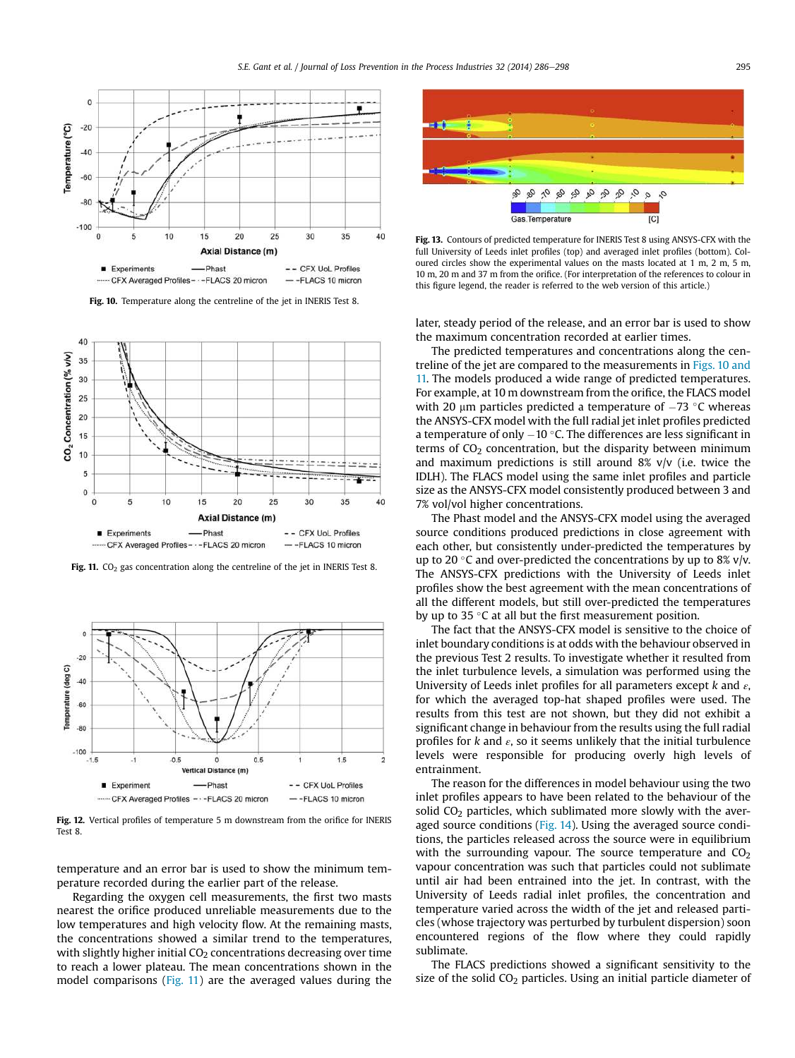

Fig. 10. Temperature along the centreline of the jet in INERIS Test 8.



Fig. 11.  $CO<sub>2</sub>$  gas concentration along the centreline of the jet in INERIS Test 8.



Fig. 12. Vertical profiles of temperature 5 m downstream from the orifice for INERIS Test 8.

temperature and an error bar is used to show the minimum temperature recorded during the earlier part of the release.

Regarding the oxygen cell measurements, the first two masts nearest the orifice produced unreliable measurements due to the low temperatures and high velocity flow. At the remaining masts, the concentrations showed a similar trend to the temperatures, with slightly higher initial  $CO<sub>2</sub>$  concentrations decreasing over time to reach a lower plateau. The mean concentrations shown in the model comparisons (Fig. 11) are the averaged values during the



Fig. 13. Contours of predicted temperature for INERIS Test 8 using ANSYS-CFX with the full University of Leeds inlet profiles (top) and averaged inlet profiles (bottom). Coloured circles show the experimental values on the masts located at 1 m, 2 m, 5 m, 10 m, 20 m and 37 m from the orifice. (For interpretation of the references to colour in this figure legend, the reader is referred to the web version of this article.)

later, steady period of the release, and an error bar is used to show the maximum concentration recorded at earlier times.

The predicted temperatures and concentrations along the centreline of the jet are compared to the measurements in Figs. 10 and 11. The models produced a wide range of predicted temperatures. For example, at 10 m downstream from the orifice, the FLACS model with 20  $\mu$ m particles predicted a temperature of  $-73$  °C whereas the ANSYS-CFX model with the full radial jet inlet profiles predicted a temperature of only  $-10$  °C. The differences are less significant in terms of  $CO<sub>2</sub>$  concentration, but the disparity between minimum and maximum predictions is still around 8% v/v (i.e. twice the IDLH). The FLACS model using the same inlet profiles and particle size as the ANSYS-CFX model consistently produced between 3 and 7% vol/vol higher concentrations.

The Phast model and the ANSYS-CFX model using the averaged source conditions produced predictions in close agreement with each other, but consistently under-predicted the temperatures by up to 20 $\degree$ C and over-predicted the concentrations by up to 8% v/v. The ANSYS-CFX predictions with the University of Leeds inlet profiles show the best agreement with the mean concentrations of all the different models, but still over-predicted the temperatures by up to 35 $\degree$ C at all but the first measurement position.

The fact that the ANSYS-CFX model is sensitive to the choice of inlet boundary conditions is at odds with the behaviour observed in the previous Test 2 results. To investigate whether it resulted from the inlet turbulence levels, a simulation was performed using the University of Leeds inlet profiles for all parameters except  $k$  and  $\varepsilon$ , for which the averaged top-hat shaped profiles were used. The results from this test are not shown, but they did not exhibit a significant change in behaviour from the results using the full radial profiles for  $k$  and  $\varepsilon$ , so it seems unlikely that the initial turbulence levels were responsible for producing overly high levels of entrainment.

The reason for the differences in model behaviour using the two inlet profiles appears to have been related to the behaviour of the solid  $CO<sub>2</sub>$  particles, which sublimated more slowly with the averaged source conditions (Fig. 14). Using the averaged source conditions, the particles released across the source were in equilibrium with the surrounding vapour. The source temperature and  $CO<sub>2</sub>$ vapour concentration was such that particles could not sublimate until air had been entrained into the jet. In contrast, with the University of Leeds radial inlet profiles, the concentration and temperature varied across the width of the jet and released particles (whose trajectory was perturbed by turbulent dispersion) soon encountered regions of the flow where they could rapidly sublimate.

The FLACS predictions showed a significant sensitivity to the size of the solid  $CO<sub>2</sub>$  particles. Using an initial particle diameter of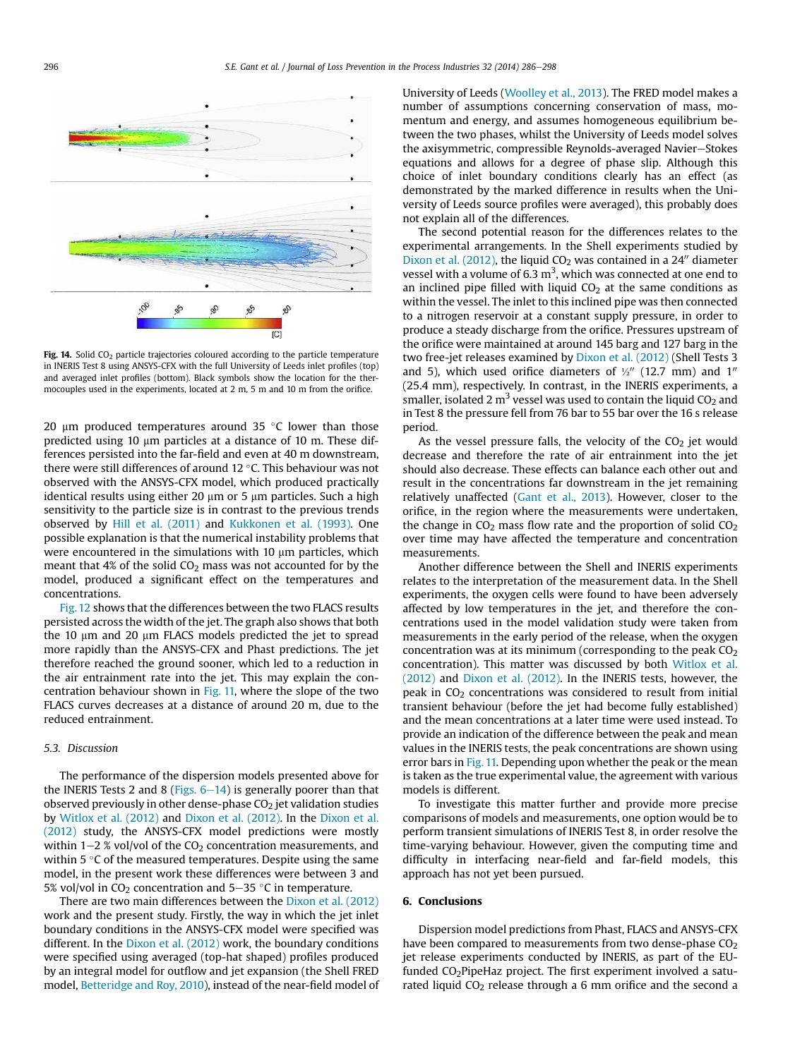

Fig. 14. Solid  $CO<sub>2</sub>$  particle trajectories coloured according to the particle temperature in INERIS Test 8 using ANSYS-CFX with the full University of Leeds inlet profiles (top) and averaged inlet profiles (bottom). Black symbols show the location for the thermocouples used in the experiments, located at 2 m, 5 m and 10 m from the orifice.

20  $\mu$ m produced temperatures around 35 °C lower than those predicted using 10  $\mu$ m particles at a distance of 10 m. These differences persisted into the far-field and even at 40 m downstream, there were still differences of around 12 $\degree$ C. This behaviour was not observed with the ANSYS-CFX model, which produced practically identical results using either 20  $\mu$ m or 5  $\mu$ m particles. Such a high sensitivity to the particle size is in contrast to the previous trends observed by Hill et al. (2011) and Kukkonen et al. (1993). One possible explanation is that the numerical instability problems that were encountered in the simulations with  $10 \mu m$  particles, which meant that 4% of the solid  $CO<sub>2</sub>$  mass was not accounted for by the model, produced a significant effect on the temperatures and concentrations.

Fig. 12 shows that the differences between the two FLACS results persisted across the width of the jet. The graph also shows that both the 10  $\mu$ m and 20  $\mu$ m FLACS models predicted the jet to spread more rapidly than the ANSYS-CFX and Phast predictions. The jet therefore reached the ground sooner, which led to a reduction in the air entrainment rate into the jet. This may explain the concentration behaviour shown in Fig. 11, where the slope of the two FLACS curves decreases at a distance of around 20 m, due to the reduced entrainment.

# 5.3. Discussion

The performance of the dispersion models presented above for the INERIS Tests 2 and 8 (Figs.  $6-14$ ) is generally poorer than that observed previously in other dense-phase  $CO<sub>2</sub>$  jet validation studies by Witlox et al. (2012) and Dixon et al. (2012). In the Dixon et al. (2012) study, the ANSYS-CFX model predictions were mostly within  $1-2$  % vol/vol of the CO<sub>2</sub> concentration measurements, and within  $5^{\circ}$ C of the measured temperatures. Despite using the same model, in the present work these differences were between 3 and 5% vol/vol in  $CO<sub>2</sub>$  concentration and 5–35 °C in temperature.

There are two main differences between the Dixon et al. (2012) work and the present study. Firstly, the way in which the jet inlet boundary conditions in the ANSYS-CFX model were specified was different. In the Dixon et al. (2012) work, the boundary conditions were specified using averaged (top-hat shaped) profiles produced by an integral model for outflow and jet expansion (the Shell FRED model, Betteridge and Roy, 2010), instead of the near-field model of University of Leeds (Woolley et al., 2013). The FRED model makes a number of assumptions concerning conservation of mass, momentum and energy, and assumes homogeneous equilibrium between the two phases, whilst the University of Leeds model solves the axisymmetric, compressible Reynolds-averaged Navier-Stokes equations and allows for a degree of phase slip. Although this choice of inlet boundary conditions clearly has an effect (as demonstrated by the marked difference in results when the University of Leeds source profiles were averaged), this probably does not explain all of the differences.

The second potential reason for the differences relates to the experimental arrangements. In the Shell experiments studied by Dixon et al. (2012), the liquid  $CO<sub>2</sub>$  was contained in a 24" diameter vessel with a volume of 6.3  $m<sup>3</sup>$ , which was connected at one end to an inclined pipe filled with liquid  $CO<sub>2</sub>$  at the same conditions as within the vessel. The inlet to this inclined pipe was then connected to a nitrogen reservoir at a constant supply pressure, in order to produce a steady discharge from the orifice. Pressures upstream of the orifice were maintained at around 145 barg and 127 barg in the two free-jet releases examined by Dixon et al. (2012) (Shell Tests 3 and 5), which used orifice diameters of  $\frac{1}{2}$ <sup>0</sup> (12.7 mm) and 1<sup>0</sup> (25.4 mm), respectively. In contrast, in the INERIS experiments, a smaller, isolated 2  $m^3$  vessel was used to contain the liquid CO<sub>2</sub> and in Test 8 the pressure fell from 76 bar to 55 bar over the 16 s release period.

As the vessel pressure falls, the velocity of the  $CO<sub>2</sub>$  jet would decrease and therefore the rate of air entrainment into the jet should also decrease. These effects can balance each other out and result in the concentrations far downstream in the jet remaining relatively unaffected (Gant et al., 2013). However, closer to the orifice, in the region where the measurements were undertaken, the change in  $CO<sub>2</sub>$  mass flow rate and the proportion of solid  $CO<sub>2</sub>$ over time may have affected the temperature and concentration measurements.

Another difference between the Shell and INERIS experiments relates to the interpretation of the measurement data. In the Shell experiments, the oxygen cells were found to have been adversely affected by low temperatures in the jet, and therefore the concentrations used in the model validation study were taken from measurements in the early period of the release, when the oxygen concentration was at its minimum (corresponding to the peak  $CO<sub>2</sub>$ concentration). This matter was discussed by both Witlox et al. (2012) and Dixon et al. (2012). In the INERIS tests, however, the peak in  $CO<sub>2</sub>$  concentrations was considered to result from initial transient behaviour (before the jet had become fully established) and the mean concentrations at a later time were used instead. To provide an indication of the difference between the peak and mean values in the INERIS tests, the peak concentrations are shown using error bars in Fig. 11. Depending upon whether the peak or the mean is taken as the true experimental value, the agreement with various models is different.

To investigate this matter further and provide more precise comparisons of models and measurements, one option would be to perform transient simulations of INERIS Test 8, in order resolve the time-varying behaviour. However, given the computing time and difficulty in interfacing near-field and far-field models, this approach has not yet been pursued.

## 6. Conclusions

Dispersion model predictions from Phast, FLACS and ANSYS-CFX have been compared to measurements from two dense-phase  $CO<sub>2</sub>$ jet release experiments conducted by INERIS, as part of the EUfunded CO<sub>2</sub>PipeHaz project. The first experiment involved a saturated liquid  $CO<sub>2</sub>$  release through a 6 mm orifice and the second a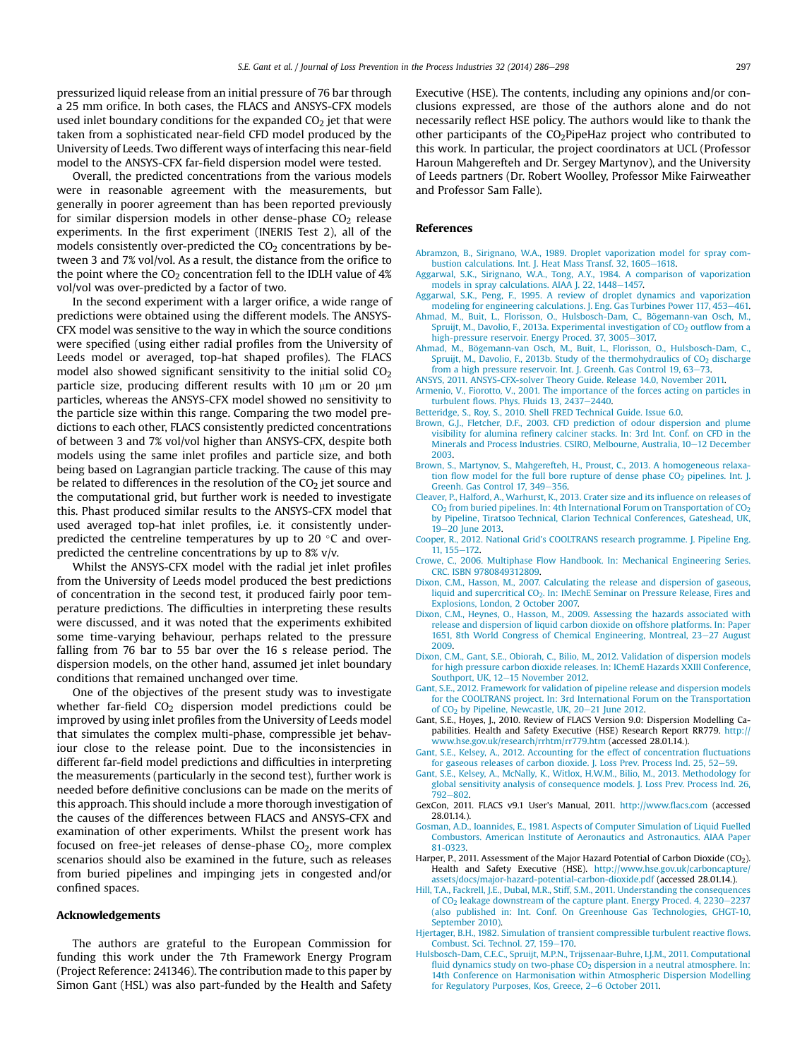pressurized liquid release from an initial pressure of 76 bar through a 25 mm orifice. In both cases, the FLACS and ANSYS-CFX models used inlet boundary conditions for the expanded  $CO<sub>2</sub>$  jet that were taken from a sophisticated near-field CFD model produced by the University of Leeds. Two different ways of interfacing this near-field model to the ANSYS-CFX far-field dispersion model were tested.

Overall, the predicted concentrations from the various models were in reasonable agreement with the measurements, but generally in poorer agreement than has been reported previously for similar dispersion models in other dense-phase  $CO<sub>2</sub>$  release experiments. In the first experiment (INERIS Test 2), all of the models consistently over-predicted the  $CO<sub>2</sub>$  concentrations by between 3 and 7% vol/vol. As a result, the distance from the orifice to the point where the  $CO<sub>2</sub>$  concentration fell to the IDLH value of 4% vol/vol was over-predicted by a factor of two.

In the second experiment with a larger orifice, a wide range of predictions were obtained using the different models. The ANSYS-CFX model was sensitive to the way in which the source conditions were specified (using either radial profiles from the University of Leeds model or averaged, top-hat shaped profiles). The FLACS model also showed significant sensitivity to the initial solid  $CO<sub>2</sub>$ particle size, producing different results with 10  $\mu$ m or 20  $\mu$ m particles, whereas the ANSYS-CFX model showed no sensitivity to the particle size within this range. Comparing the two model predictions to each other, FLACS consistently predicted concentrations of between 3 and 7% vol/vol higher than ANSYS-CFX, despite both models using the same inlet profiles and particle size, and both being based on Lagrangian particle tracking. The cause of this may be related to differences in the resolution of the  $CO<sub>2</sub>$  jet source and the computational grid, but further work is needed to investigate this. Phast produced similar results to the ANSYS-CFX model that used averaged top-hat inlet profiles, i.e. it consistently underpredicted the centreline temperatures by up to 20 $\degree$ C and overpredicted the centreline concentrations by up to 8% v/v.

Whilst the ANSYS-CFX model with the radial jet inlet profiles from the University of Leeds model produced the best predictions of concentration in the second test, it produced fairly poor temperature predictions. The difficulties in interpreting these results were discussed, and it was noted that the experiments exhibited some time-varying behaviour, perhaps related to the pressure falling from 76 bar to 55 bar over the 16 s release period. The dispersion models, on the other hand, assumed jet inlet boundary conditions that remained unchanged over time.

One of the objectives of the present study was to investigate whether far-field  $CO<sub>2</sub>$  dispersion model predictions could be improved by using inlet profiles from the University of Leeds model that simulates the complex multi-phase, compressible jet behaviour close to the release point. Due to the inconsistencies in different far-field model predictions and difficulties in interpreting the measurements (particularly in the second test), further work is needed before definitive conclusions can be made on the merits of this approach. This should include a more thorough investigation of the causes of the differences between FLACS and ANSYS-CFX and examination of other experiments. Whilst the present work has focused on free-jet releases of dense-phase  $CO<sub>2</sub>$ , more complex scenarios should also be examined in the future, such as releases from buried pipelines and impinging jets in congested and/or confined spaces.

#### Acknowledgements

The authors are grateful to the European Commission for funding this work under the 7th Framework Energy Program (Project Reference: 241346). The contribution made to this paper by Simon Gant (HSL) was also part-funded by the Health and Safety Executive (HSE). The contents, including any opinions and/or conclusions expressed, are those of the authors alone and do not necessarily reflect HSE policy. The authors would like to thank the other participants of the CO2PipeHaz project who contributed to this work. In particular, the project coordinators at UCL (Professor Haroun Mahgerefteh and Dr. Sergey Martynov), and the University of Leeds partners (Dr. Robert Woolley, Professor Mike Fairweather and Professor Sam Falle).

#### References

- Abramzon, B., Sirignano, W.A., 1989. Droplet vaporization model for spray combustion calculations. Int. J. Heat Mass Transf. 32, 1605-1618.
- Aggarwal, S.K., Sirignano, W.A., Tong, A.Y., 1984. A comparison of vaporization models in spray calculations. AIAA J. 22, 1448-1457.
- Aggarwal, S.K., Peng, F., 1995. A review of droplet dynamics and vaporization modeling for engineering calculations. J. Eng. Gas Turbines Power 117, 453-461. Ahmad, M., Buit, L., Florisson, O., Hulsbosch-Dam, C., Bögemann-van Osch, M.,
- Spruijt, M., Davolio, F., 2013a. Experimental investigation of  $CO<sub>2</sub>$  outflow from a high-pressure reservoir. Energy Proced. 37, 3005-3017. Ahmad, M., Bögemann-van Osch, M., Buit, L., Florisson, O., Hulsbosch-Dam, C.,
- Spruijt, M., Davolio, F., 2013b. Study of the thermohydraulics of  $CO<sub>2</sub>$  discharge from a high pressure reservoir. Int. J. Greenh. Gas Control 19, 63-73.
- ANSYS, 2011. ANSYS-CFX-solver Theory Guide. Release 14.0, November 2011.
- Armenio, V., Fiorotto, V., 2001. The importance of the forces acting on particles in turbulent flows. Phys. Fluids  $13$ ,  $2437-2440$ .
- Betteridge, S., Roy, S., 2010. Shell FRED Technical Guide. Issue 6.0.
- Brown, G.J., Fletcher, D.F., 2003. CFD prediction of odour dispersion and plume visibility for alumina refinery calciner stacks. In: 3rd Int. Conf. on CFD in the Minerals and Process Industries. CSIRO, Melbourne, Australia, 10-12 December 2003.
- Brown, S., Martynov, S., Mahgerefteh, H., Proust, C., 2013. A homogeneous relaxation flow model for the full bore rupture of dense phase  $CO<sub>2</sub>$  pipelines. Int. J. Greenh. Gas Control 17, 349-356.
- Cleaver, P., Halford, A., Warhurst, K., 2013. Crater size and its influence on releases of  $CO<sub>2</sub>$  from buried pipelines. In: 4th International Forum on Transportation of  $CO<sub>2</sub>$ by Pipeline, Tiratsoo Technical, Clarion Technical Conferences, Gateshead, UK, 19-20 June 2013.
- Cooper, R., 2012. National Grid's COOLTRANS research programme. J. Pipeline Eng. 11, 155-172.
- Crowe, C., 2006. Multiphase Flow Handbook. In: Mechanical Engineering Series. CRC. ISBN 9780849312809.
- Dixon, C.M., Hasson, M., 2007. Calculating the release and dispersion of gaseous, liquid and supercritical CO<sub>2</sub>. In: IMechE Seminar on Pressure Release, Fires and Explosions, London, 2 October 2007.
- Dixon, C.M., Heynes, O., Hasson, M., 2009. Assessing the hazards associated with release and dispersion of liquid carbon dioxide on offshore platforms. In: Paper 1651, 8th World Congress of Chemical Engineering, Montreal, 23–27 August 2009.
- Dixon, C.M., Gant, S.E., Obiorah, C., Bilio, M., 2012. Validation of dispersion models for high pressure carbon dioxide releases. In: IChemE Hazards XXIII Conference, Southport, UK, 12-15 November 2012.
- Gant, S.E., 2012. Framework for validation of pipeline release and dispersion models for the COOLTRANS project. In: 3rd International Forum on the Transportation of  $CO<sub>2</sub>$  by Pipeline, Newcastle, UK, 20-21 June 2012.
- Gant, S.E., Hoyes, J., 2010. Review of FLACS Version 9.0: Dispersion Modelling Capabilities. Health and Safety Executive (HSE) Research Report RR779. http:// www.hse.gov.uk/research/rrhtm/rr779.htm (accessed 28.01.14.).
- Gant, S.E., Kelsey, A., 2012. Accounting for the effect of concentration fluctuations for gaseous releases of carbon dioxide. J. Loss Prev. Process Ind. 25, 52-59.
- Gant, S.E., Kelsey, A., McNally, K., Witlox, H.W.M., Bilio, M., 2013. Methodology for global sensitivity analysis of consequence models. J. Loss Prev. Process Ind. 26, 792-802
- GexCon, 2011. FLACS v9.1 User's Manual, 2011. http://www.flacs.com (accessed 28.01.14.).
- Gosman, A.D., Ioannides, E., 1981. Aspects of Computer Simulation of Liquid Fuelled Combustors. American Institute of Aeronautics and Astronautics. AIAA Paper 81-0323.
- Harper, P., 2011. Assessment of the Major Hazard Potential of Carbon Dioxide  $(CO<sub>2</sub>)$ Health and Safety Executive (HSE). http://www.hse.gov.uk/carboncapture/ assets/docs/major-hazard-potential-carbon-dioxide.pdf (accessed 28.01.14.).
- Hill, T.A., Fackrell, J.E., Dubal, M.R., Stiff, S.M., 2011. Understanding the consequences of  $CO<sub>2</sub>$  leakage downstream of the capture plant. Energy Proced. 4, 2230-2237 (also published in: Int. Conf. On Greenhouse Gas Technologies, GHGT-10, September 2010).
- Hjertager, B.H., 1982. Simulation of transient compressible turbulent reactive flows. Combust. Sci. Technol. 27, 159-170.
- Hulsbosch-Dam, C.E.C., Spruijt, M.P.N., Trijssenaar-Buhre, I.J.M., 2011. Computational fluid dynamics study on two-phase CO<sub>2</sub> dispersion in a neutral atmosphere. In: 14th Conference on Harmonisation within Atmospheric Dispersion Modelling for Regulatory Purposes, Kos, Greece, 2-6 October 2011.